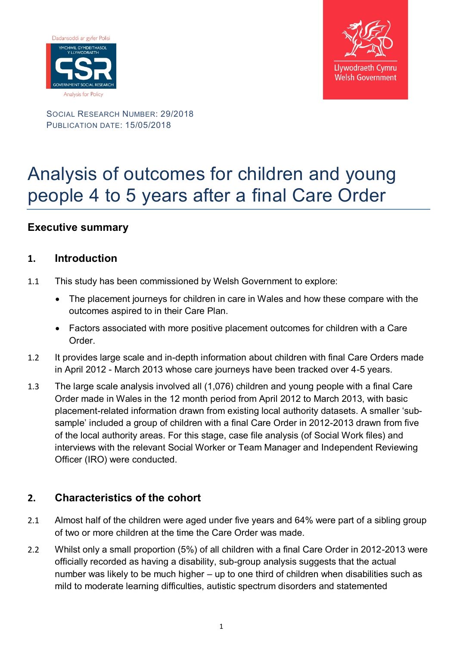



SOCIAL RESEARCH NUMBER: 29/2018 PUBLICATION DATE: 15/05/2018

# Analysis of outcomes for children and young people 4 to 5 years after a final Care Order

## **Executive summary**

#### **1. Introduction**

- 1.1 This study has been commissioned by Welsh Government to explore:
	- The placement journeys for children in care in Wales and how these compare with the outcomes aspired to in their Care Plan.
	- Factors associated with more positive placement outcomes for children with a Care Order.
- 1.2 It provides large scale and in-depth information about children with final Care Orders made in April 2012 - March 2013 whose care journeys have been tracked over 4-5 years.
- 1.3 The large scale analysis involved all (1,076) children and young people with a final Care Order made in Wales in the 12 month period from April 2012 to March 2013, with basic placement-related information drawn from existing local authority datasets. A smaller 'subsample' included a group of children with a final Care Order in 2012-2013 drawn from five of the local authority areas. For this stage, case file analysis (of Social Work files) and interviews with the relevant Social Worker or Team Manager and Independent Reviewing Officer (IRO) were conducted.

#### **2. Characteristics of the cohort**

- 2.1 Almost half of the children were aged under five years and 64% were part of a sibling group of two or more children at the time the Care Order was made.
- 2.2 Whilst only a small proportion (5%) of all children with a final Care Order in 2012-2013 were officially recorded as having a disability, sub-group analysis suggests that the actual number was likely to be much higher – up to one third of children when disabilities such as mild to moderate learning difficulties, autistic spectrum disorders and statemented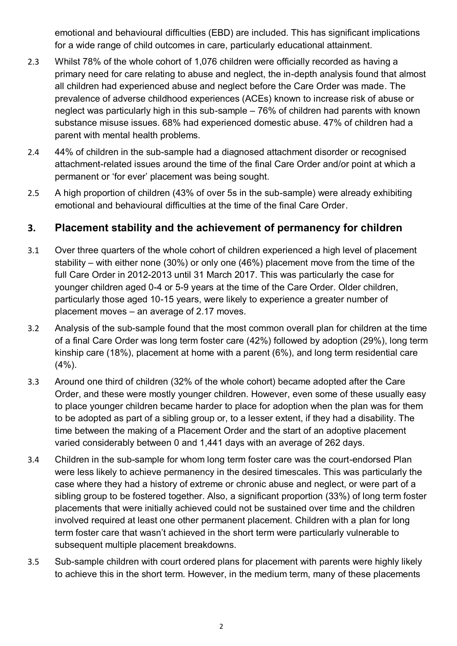emotional and behavioural difficulties (EBD) are included. This has significant implications for a wide range of child outcomes in care, particularly educational attainment.

- 2.3 Whilst 78% of the whole cohort of 1,076 children were officially recorded as having a primary need for care relating to abuse and neglect, the in-depth analysis found that almost all children had experienced abuse and neglect before the Care Order was made. The prevalence of adverse childhood experiences (ACEs) known to increase risk of abuse or neglect was particularly high in this sub-sample – 76% of children had parents with known substance misuse issues. 68% had experienced domestic abuse. 47% of children had a parent with mental health problems.
- 2.4 44% of children in the sub-sample had a diagnosed attachment disorder or recognised attachment-related issues around the time of the final Care Order and/or point at which a permanent or 'for ever' placement was being sought.
- 2.5 A high proportion of children (43% of over 5s in the sub-sample) were already exhibiting emotional and behavioural difficulties at the time of the final Care Order.

## **3. Placement stability and the achievement of permanency for children**

- 3.1 Over three quarters of the whole cohort of children experienced a high level of placement stability – with either none (30%) or only one (46%) placement move from the time of the full Care Order in 2012-2013 until 31 March 2017. This was particularly the case for younger children aged 0-4 or 5-9 years at the time of the Care Order. Older children, particularly those aged 10-15 years, were likely to experience a greater number of placement moves – an average of 2.17 moves.
- 3.2 Analysis of the sub-sample found that the most common overall plan for children at the time of a final Care Order was long term foster care (42%) followed by adoption (29%), long term kinship care (18%), placement at home with a parent (6%), and long term residential care  $(4\%)$ .
- 3.3 Around one third of children (32% of the whole cohort) became adopted after the Care Order, and these were mostly younger children. However, even some of these usually easy to place younger children became harder to place for adoption when the plan was for them to be adopted as part of a sibling group or, to a lesser extent, if they had a disability. The time between the making of a Placement Order and the start of an adoptive placement varied considerably between 0 and 1,441 days with an average of 262 days.
- 3.4 Children in the sub-sample for whom long term foster care was the court-endorsed Plan were less likely to achieve permanency in the desired timescales. This was particularly the case where they had a history of extreme or chronic abuse and neglect, or were part of a sibling group to be fostered together. Also, a significant proportion (33%) of long term foster placements that were initially achieved could not be sustained over time and the children involved required at least one other permanent placement. Children with a plan for long term foster care that wasn't achieved in the short term were particularly vulnerable to subsequent multiple placement breakdowns.
- 3.5 Sub-sample children with court ordered plans for placement with parents were highly likely to achieve this in the short term. However, in the medium term, many of these placements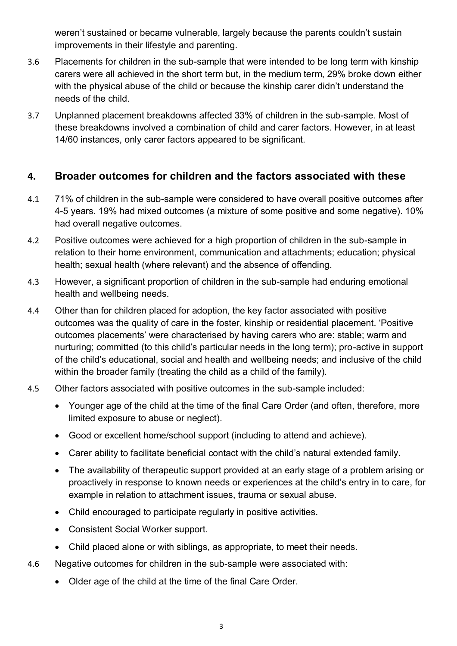weren't sustained or became vulnerable, largely because the parents couldn't sustain improvements in their lifestyle and parenting.

- 3.6 Placements for children in the sub-sample that were intended to be long term with kinship carers were all achieved in the short term but, in the medium term, 29% broke down either with the physical abuse of the child or because the kinship carer didn't understand the needs of the child.
- 3.7 Unplanned placement breakdowns affected 33% of children in the sub-sample. Most of these breakdowns involved a combination of child and carer factors. However, in at least 14/60 instances, only carer factors appeared to be significant.

#### **4. Broader outcomes for children and the factors associated with these**

- 4.1 71% of children in the sub-sample were considered to have overall positive outcomes after 4-5 years. 19% had mixed outcomes (a mixture of some positive and some negative). 10% had overall negative outcomes.
- 4.2 Positive outcomes were achieved for a high proportion of children in the sub-sample in relation to their home environment, communication and attachments; education; physical health; sexual health (where relevant) and the absence of offending.
- 4.3 However, a significant proportion of children in the sub-sample had enduring emotional health and wellbeing needs.
- 4.4 Other than for children placed for adoption, the key factor associated with positive outcomes was the quality of care in the foster, kinship or residential placement. 'Positive outcomes placements' were characterised by having carers who are: stable; warm and nurturing; committed (to this child's particular needs in the long term); pro-active in support of the child's educational, social and health and wellbeing needs; and inclusive of the child within the broader family (treating the child as a child of the family).
- 4.5 Other factors associated with positive outcomes in the sub-sample included:
	- Younger age of the child at the time of the final Care Order (and often, therefore, more limited exposure to abuse or neglect).
	- Good or excellent home/school support (including to attend and achieve).
	- Carer ability to facilitate beneficial contact with the child's natural extended family.
	- The availability of therapeutic support provided at an early stage of a problem arising or proactively in response to known needs or experiences at the child's entry in to care, for example in relation to attachment issues, trauma or sexual abuse.
	- Child encouraged to participate regularly in positive activities.
	- Consistent Social Worker support.
	- Child placed alone or with siblings, as appropriate, to meet their needs.
- 4.6 Negative outcomes for children in the sub-sample were associated with:
	- Older age of the child at the time of the final Care Order.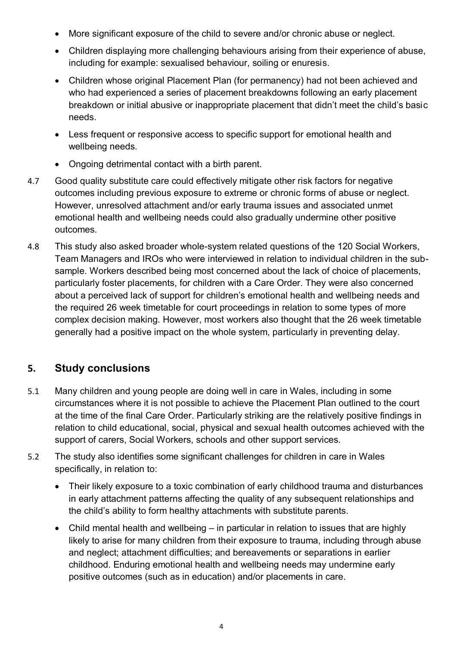- More significant exposure of the child to severe and/or chronic abuse or neglect.
- Children displaying more challenging behaviours arising from their experience of abuse, including for example: sexualised behaviour, soiling or enuresis.
- Children whose original Placement Plan (for permanency) had not been achieved and who had experienced a series of placement breakdowns following an early placement breakdown or initial abusive or inappropriate placement that didn't meet the child's basic needs.
- Less frequent or responsive access to specific support for emotional health and wellbeing needs.
- Ongoing detrimental contact with a birth parent.
- 4.7 Good quality substitute care could effectively mitigate other risk factors for negative outcomes including previous exposure to extreme or chronic forms of abuse or neglect. However, unresolved attachment and/or early trauma issues and associated unmet emotional health and wellbeing needs could also gradually undermine other positive outcomes.
- 4.8 This study also asked broader whole-system related questions of the 120 Social Workers, Team Managers and IROs who were interviewed in relation to individual children in the subsample. Workers described being most concerned about the lack of choice of placements, particularly foster placements, for children with a Care Order. They were also concerned about a perceived lack of support for children's emotional health and wellbeing needs and the required 26 week timetable for court proceedings in relation to some types of more complex decision making. However, most workers also thought that the 26 week timetable generally had a positive impact on the whole system, particularly in preventing delay.

## **5. Study conclusions**

- 5.1 Many children and young people are doing well in care in Wales, including in some circumstances where it is not possible to achieve the Placement Plan outlined to the court at the time of the final Care Order. Particularly striking are the relatively positive findings in relation to child educational, social, physical and sexual health outcomes achieved with the support of carers, Social Workers, schools and other support services.
- 5.2 The study also identifies some significant challenges for children in care in Wales specifically, in relation to:
	- Their likely exposure to a toxic combination of early childhood trauma and disturbances in early attachment patterns affecting the quality of any subsequent relationships and the child's ability to form healthy attachments with substitute parents.
	- Child mental health and wellbeing in particular in relation to issues that are highly likely to arise for many children from their exposure to trauma, including through abuse and neglect; attachment difficulties; and bereavements or separations in earlier childhood. Enduring emotional health and wellbeing needs may undermine early positive outcomes (such as in education) and/or placements in care.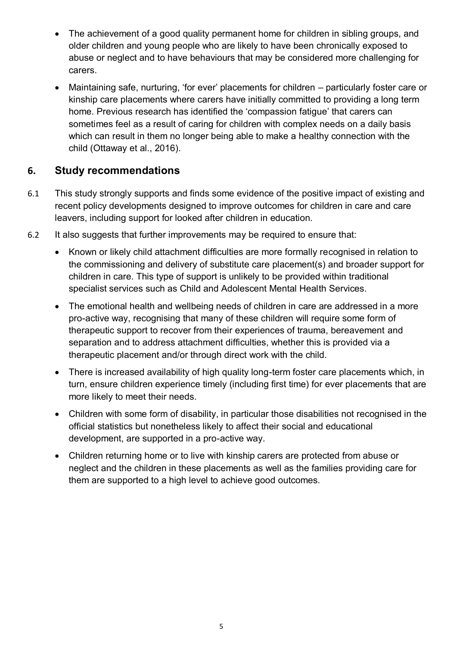- The achievement of a good quality permanent home for children in sibling groups, and older children and young people who are likely to have been chronically exposed to abuse or neglect and to have behaviours that may be considered more challenging for carers.
- Maintaining safe, nurturing, 'for ever' placements for children particularly foster care or kinship care placements where carers have initially committed to providing a long term home. Previous research has identified the 'compassion fatigue' that carers can sometimes feel as a result of caring for children with complex needs on a daily basis which can result in them no longer being able to make a healthy connection with the child (Ottaway et al., 2016).

## **6. Study recommendations**

- 6.1 This study strongly supports and finds some evidence of the positive impact of existing and recent policy developments designed to improve outcomes for children in care and care leavers, including support for looked after children in education.
- 6.2 It also suggests that further improvements may be required to ensure that:
	- Known or likely child attachment difficulties are more formally recognised in relation to the commissioning and delivery of substitute care placement(s) and broader support for children in care. This type of support is unlikely to be provided within traditional specialist services such as Child and Adolescent Mental Health Services.
	- The emotional health and wellbeing needs of children in care are addressed in a more pro-active way, recognising that many of these children will require some form of therapeutic support to recover from their experiences of trauma, bereavement and separation and to address attachment difficulties, whether this is provided via a therapeutic placement and/or through direct work with the child.
	- There is increased availability of high quality long-term foster care placements which, in turn, ensure children experience timely (including first time) for ever placements that are more likely to meet their needs.
	- Children with some form of disability, in particular those disabilities not recognised in the official statistics but nonetheless likely to affect their social and educational development, are supported in a pro-active way.
	- Children returning home or to live with kinship carers are protected from abuse or neglect and the children in these placements as well as the families providing care for them are supported to a high level to achieve good outcomes.